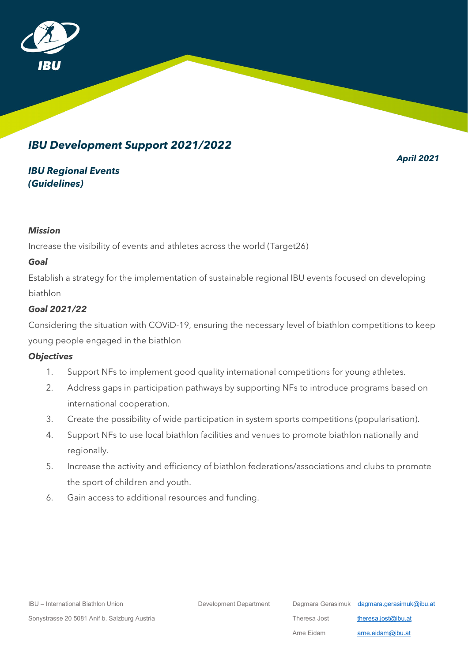

# *IBU Development Support 2021/2022*

*April 2021*

## *IBU Regional Events (Guidelines)*

#### *Mission*

Increase the visibility of events and athletes across the world (Target26)

#### *Goal*

Establish a strategy for the implementation of sustainable regional IBU events focused on developing biathlon

### *Goal 2021/22*

Considering the situation with COViD-19, ensuring the necessary level of biathlon competitions to keep young people engaged in the biathlon

### *Objectives*

- 1. Support NFs to implement good quality international competitions for young athletes.
- 2. Address gaps in participation pathways by supporting NFs to introduce programs based on international cooperation.
- 3. Create the possibility of wide participation in system sports competitions (popularisation).
- 4. Support NFs to use local biathlon facilities and venues to promote biathlon nationally and regionally.
- 5. Increase the activity and efficiency of biathlon federations/associations and clubs to promote the sport of children and youth.
- 6. Gain access to additional resources and funding.

IBU – International Biathlon Union Development Department Department Dagmara Gerasimuk [dagmara.gerasimuk@ibu.at](mailto:dagmara.gerasimuk@ibu.at)

Sonystrasse 20 5081 Anif b. Salzburg Austria **Theresa** Jost theresa.jost beresa.jost beresa.jost beresa.jost beresa.jost beresa.jost beresa.jost beresa.jost beresa.jost beresa.jost beresa.jost beresa.jost beresa.jost beres

Arne Eidam **[arne.eidam@ibu.at](mailto:arne.eidam@ibu.at)**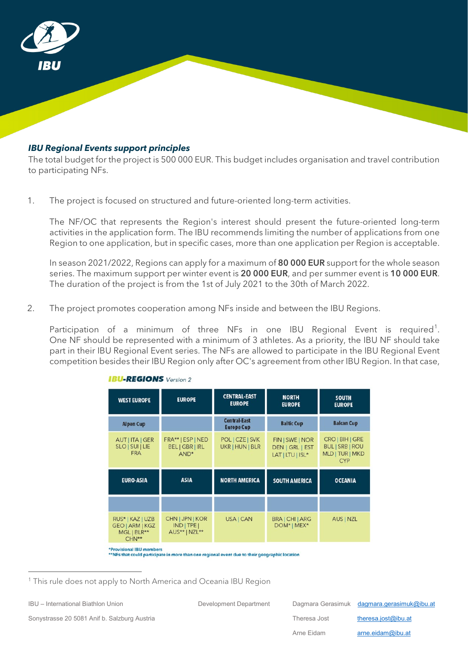

#### *IBU Regional Events support principles*

The total budget for the project is 500 000 EUR. This budget includes organisation and travel contribution to participating NFs.

1. The project is focused on structured and future-oriented long-term activities.

The NF/OC that represents the Region's interest should present the future-oriented long-term activities in the application form. The IBU recommends limiting the number of applications from one Region to one application, but in specific cases, more than one application per Region is acceptable.

In season 2021/2022, Regions can apply for a maximum of 80 000 EUR support for the whole season series. The maximum support per winter event is 20 000 EUR, and per summer event is 10 000 EUR. The duration of the project is from the 1st of July 2021 to the 30th of March 2022.

2. The project promotes cooperation among NFs inside and between the IBU Regions.

Participation of a minimum of three NFs in one IBU Regional Event is required<sup>[1](#page-1-0)</sup>. One NF should be represented with a minimum of 3 athletes. As a priority, the IBU NF should take part in their IBU Regional Event series. The NFs are allowed to participate in the IBU Regional Event competition besides their IBU Region only after OC's agreement from other IBU Region. In that case,

| <b>WEST EUROPE</b>                                                 | <b>EUROPE</b>                                                   | <b>CENTRAL-EAST</b><br><b>EUROPE</b>     | <b>NORTH</b><br><b>EUROPE</b>                          | <b>SOUTH</b><br><b>EUROPE</b>                                                |
|--------------------------------------------------------------------|-----------------------------------------------------------------|------------------------------------------|--------------------------------------------------------|------------------------------------------------------------------------------|
| <b>Alpen Cup</b>                                                   |                                                                 | <b>Central-East</b><br><b>Europe Cup</b> | <b>Baltic Cup</b>                                      | <b>Balcan Cup</b>                                                            |
| AUT   ITA   GER<br>SLO   SUI   LIE<br><b>FRA</b>                   | FRA**   ESP   NED<br><b>BEL   GBR   IRL</b><br>AND <sup>*</sup> | POL   CZE   SVK<br>UKR   HUN   BLR       | FIN   SWE   NOR<br>DEN   GRL   EST<br>LAT   LTU   ISL* | $CRO$   BIH   GRE<br><b>BUL   SRB   ROU</b><br>MLD   TUR   MKD<br><b>CYP</b> |
| <b>EURO-ASIA</b>                                                   | <b>ASIA</b>                                                     | <b>NORTH AMERICA</b>                     | <b>SOUTH AMERICA</b>                                   | <b>OCEANIA</b>                                                               |
|                                                                    |                                                                 |                                          |                                                        |                                                                              |
| RUS*   KAZ   UZB<br><b>GEO   ARM   KGZ</b><br>MGL   BLR**<br>CHN** | CHN   JPN   KOR<br>$IND$ TPE<br>AUS**   NZL**                   | USA   CAN                                | BRA   CHI   ARG<br>DOM*   MEX*                         | AUS   NZL                                                                    |

**IBU-REGIONS** Version 2

\*Provisional IBU members<br>\*\*NFs that could participate in more than one regional event due to their geographic location

 $\overline{a}$ 

IBU – International Biathlon Union Development Department Department Dagmara Gerasimuk [dagmara.gerasimuk@ibu.at](mailto:dagmara.gerasimuk@ibu.at) Sonystrasse 20 5081 Anif b. Salzburg Austria **Theresa** Jost theresa Jost beresa.jost@ibu.at Arne Eidam **[arne.eidam@ibu.at](mailto:arne.eidam@ibu.at)** 

<span id="page-1-0"></span><sup>&</sup>lt;sup>1</sup> This rule does not apply to North America and Oceania IBU Region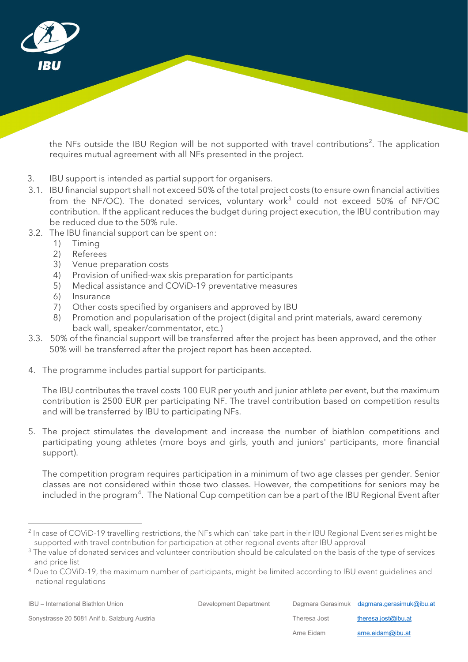

the NFs outside the IBU Region will be not supported with travel contributions<sup>[2](#page-2-0)</sup>. The application requires mutual agreement with all NFs presented in the project.

- 3. IBU support is intended as partial support for organisers.
- 3.1. IBU financial support shall not exceed 50% of the total project costs (to ensure own financial activities from the NF/OC). The donated services, voluntary work<sup>[3](#page-2-1)</sup> could not exceed 50% of NF/OC contribution. If the applicant reduces the budget during project execution, the IBU contribution may be reduced due to the 50% rule.
- 3.2. The IBU financial support can be spent on:
	- 1) Timing
	- 2) Referees
	- 3) Venue preparation costs
	- 4) Provision of unified-wax skis preparation for participants
	- 5) Medical assistance and COViD-19 preventative measures
	- 6) Insurance
	- 7) Other costs specified by organisers and approved by IBU
	- 8) Promotion and popularisation of the project (digital and print materials, award ceremony back wall, speaker/commentator, etc.)
- 3.3. 50% of the financial support will be transferred after the project has been approved, and the other 50% will be transferred after the project report has been accepted.
- 4. The programme includes partial support for participants.

The IBU contributes the travel costs 100 EUR per youth and junior athlete per event, but the maximum contribution is 2500 EUR per participating NF. The travel contribution based on competition results and will be transferred by IBU to participating NFs.

5. The project stimulates the development and increase the number of biathlon competitions and participating young athletes (more boys and girls, youth and juniors' participants, more financial support).

The competition program requires participation in a minimum of two age classes per gender. Senior classes are not considered within those two classes. However, the competitions for seniors may be included in the program $^4$  $^4$ . The National Cup competition can be a part of the IBU Regional Event after

 $\overline{a}$ 

<span id="page-2-0"></span><sup>&</sup>lt;sup>2</sup> In case of COViD-19 travelling restrictions, the NFs which can' take part in their IBU Regional Event series might be supported with travel contribution for participation at other regional events after IBU approval

<span id="page-2-1"></span><sup>&</sup>lt;sup>3</sup> The value of donated services and volunteer contribution should be calculated on the basis of the type of services and price list

<span id="page-2-2"></span><sup>4</sup> Due to COViD-19, the maximum number of participants, might be limited according to IBU event guidelines and national regulations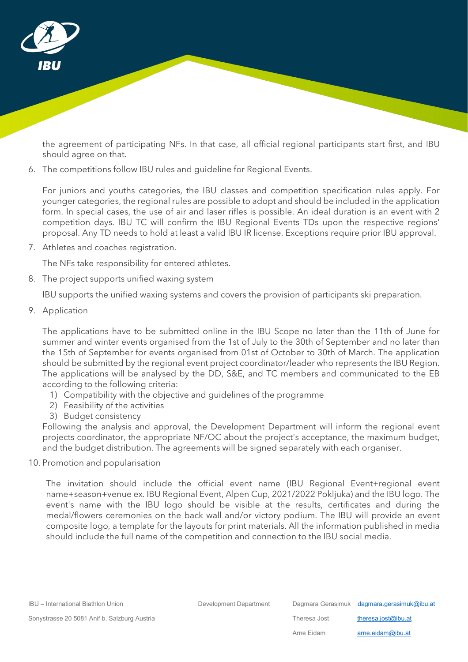

the agreement of participating NFs. In that case, all official regional participants start first, and IBU should agree on that.

6. The competitions follow IBU rules and guideline for Regional Events.

For juniors and youths categories, the IBU classes and competition specification rules apply. For younger categories, the regional rules are possible to adopt and should be included in the application form. In special cases, the use of air and laser rifles is possible. An ideal duration is an event with 2 competition days. IBU TC will confirm the IBU Regional Events TDs upon the respective regions' proposal. Any TD needs to hold at least a valid IBU IR license. Exceptions require prior IBU approval.

7. Athletes and coaches registration.

The NFs take responsibility for entered athletes.

8. The project supports unified waxing system

IBU supports the unified waxing systems and covers the provision of participants ski preparation.

9. Application

The applications have to be submitted online in the IBU Scope no later than the 11th of June for summer and winter events organised from the 1st of July to the 30th of September and no later than the 15th of September for events organised from 01st of October to 30th of March. The application should be submitted by the regional event project coordinator/leader who represents the IBU Region. The applications will be analysed by the DD, S&E, and TC members and communicated to the EB according to the following criteria:

- 1) Compatibility with the objective and guidelines of the programme
- 2) Feasibility of the activities
- 3) Budget consistency

Following the analysis and approval, the Development Department will inform the regional event projects coordinator, the appropriate NF/OC about the project's acceptance, the maximum budget, and the budget distribution. The agreements will be signed separately with each organiser.

10. Promotion and popularisation

The invitation should include the official event name (IBU Regional Event+regional event name+season+venue ex. IBU Regional Event, Alpen Cup, 2021/2022 Pokljuka) and the IBU logo. The event's name with the IBU logo should be visible at the results, certificates and during the medal/flowers ceremonies on the back wall and/or victory podium. The IBU will provide an event composite logo, a template for the layouts for print materials. All the information published in media should include the full name of the competition and connection to the IBU social media.

IBU – International Biathlon Union Development Department Department Dagmara Gerasimuk [dagmara.gerasimuk@ibu.at](mailto:dagmara.gerasimuk@ibu.at)